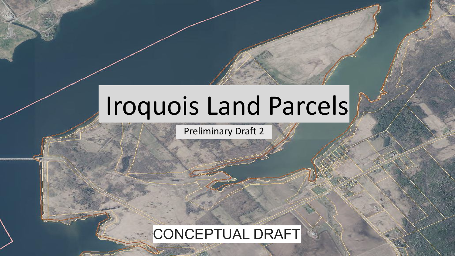# Iroquois Land Parcels

Preliminary Draft 2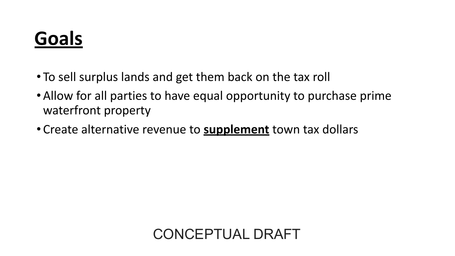## **Goals**

- To sell surplus lands and get them back on the tax roll
- •Allow for all parties to have equal opportunity to purchase prime waterfront property
- Create alternative revenue to **supplement** town tax dollars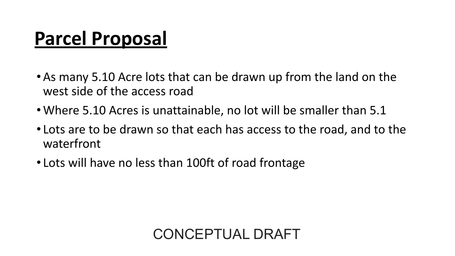### **Parcel Proposal**

- •As many 5.10 Acre lots that can be drawn up from the land on the west side of the access road
- •Where 5.10 Acres is unattainable, no lot will be smaller than 5.1
- Lots are to be drawn so that each has access to the road, and to the waterfront
- Lots will have no less than 100ft of road frontage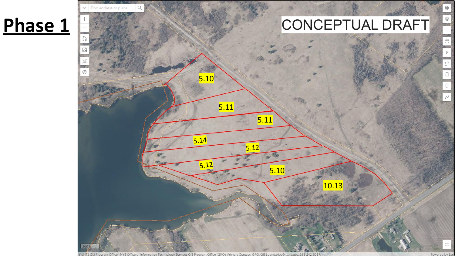### **Phase 1**

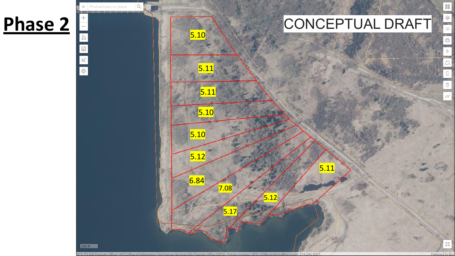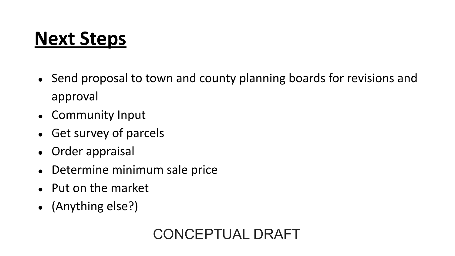### **Next Steps**

- Send proposal to town and county planning boards for revisions and approval
- Community Input
- Get survey of parcels
- Order appraisal
- Determine minimum sale price
- Put on the market
- (Anything else?)